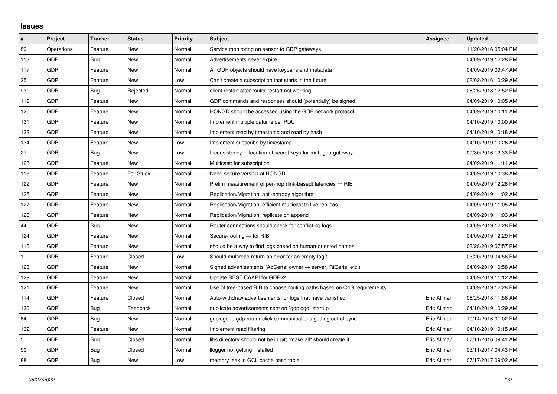## **Issues**

| #          | Project    | <b>Tracker</b> | <b>Status</b> | <b>Priority</b> | <b>Subject</b>                                                             | Assignee    | <b>Updated</b>      |
|------------|------------|----------------|---------------|-----------------|----------------------------------------------------------------------------|-------------|---------------------|
| 89         | Operations | Feature        | <b>New</b>    | Normal          | Service monitoring on sensor to GDP gateways                               |             | 11/20/2016 05:04 PM |
| 113        | GDP        | <b>Bug</b>     | New           | Normal          | Advertisements never expire                                                |             | 04/09/2019 12:28 PM |
| 117        | GDP        | Feature        | New           | Normal          | All GDP objects should have keypairs and metadata                          |             | 04/09/2019 09:47 AM |
| 25         | GDP        | Feature        | <b>New</b>    | Low             | Can't create a subscription that starts in the future                      |             | 08/02/2016 10:29 AM |
| 93         | GDP        | <b>Bug</b>     | Rejected      | Normal          | client restart after router restart not working                            |             | 06/25/2018 12:52 PM |
| 119        | GDP        | Feature        | New           | Normal          | GDP commands and responses should (potentially) be signed                  |             | 04/09/2019 10:05 AM |
| 120        | GDP        | Feature        | <b>New</b>    | Normal          | HONGD should be accessed using the GDP network protocol                    |             | 04/09/2019 10:11 AM |
| 131        | GDP        | Feature        | New           | Normal          | Implement multiple datums per PDU                                          |             | 04/10/2019 10:00 AM |
| 133        | GDP        | Feature        | <b>New</b>    | Normal          | Implement read by timestamp and read by hash                               |             | 04/10/2019 10:18 AM |
| 134        | GDP        | Feature        | New           | Low             | Implement subscribe by timestamp                                           |             | 04/10/2019 10:26 AM |
| 27         | GDP        | Bug            | New           | Low             | Inconsistency in location of secret keys for mqtt-gdp-gateway              |             | 09/30/2016 12:33 PM |
| 128        | GDP        | Feature        | <b>New</b>    | Normal          | Multicast: for subscription                                                |             | 04/09/2019 11:11 AM |
| 118        | GDP        | Feature        | For Study     | Normal          | Need secure version of HONGD                                               |             | 04/09/2019 10:38 AM |
| 122        | GDP        | Feature        | New           | Normal          | Prelim measurement of per-hop (link-based) latencies $\Rightarrow$ RIB     |             | 04/09/2019 12:28 PM |
| 125        | GDP        | Feature        | <b>New</b>    | Normal          | Replication/Migration: anti-entropy algorithm                              |             | 04/09/2019 11:02 AM |
| 127        | GDP        | Feature        | New           | Normal          | Replication/Migration: efficient multicast to live replicas                |             | 04/09/2019 11:05 AM |
| 126        | GDP        | Feature        | New           | Normal          | Replication/Migration: replicate on append                                 |             | 04/09/2019 11:03 AM |
| 44         | GDP        | Bug            | New           | Normal          | Router connections should check for conflicting logs                       |             | 04/09/2019 12:28 PM |
| 124        | GDP        | Feature        | New           | Normal          | Secure-routing - for RIB                                                   |             | 04/09/2019 12:29 PM |
| 116        | GDP        | Feature        | New           | Normal          | should be a way to find logs based on human-oriented names                 |             | 03/28/2019 07:57 PM |
|            | GDP        | Feature        | Closed        | Low             | Should multiread return an error for an empty log?                         |             | 03/20/2019 04:56 PM |
| 123        | GDP        | Feature        | New           | Normal          | Signed advertisements (AdCerts: owner $\rightarrow$ server, RtCerts, etc.) |             | 04/09/2019 10:58 AM |
| 129        | GDP        | Feature        | New           | Normal          | Update REST CAAPI for GDPv2                                                |             | 04/09/2019 11:12 AM |
| 121        | GDP        | Feature        | New           | Normal          | Use of tree-based RIB to choose routing paths based on QoS requirements    |             | 04/09/2019 12:28 PM |
| 114        | <b>GDP</b> | Feature        | Closed        | Normal          | Auto-withdraw advertisements for logs that have vanished                   | Eric Allman | 06/25/2018 11:56 AM |
| 130        | GDP        | Bug            | Feedback      | Normal          | duplicate advertisements sent on `gdplogd` startup                         | Eric Allman | 04/10/2019 10:29 AM |
| 64         | GDP        | Bug            | New           | Normal          | gdplogd to gdp-router-click communications getting out of sync             | Eric Allman | 10/14/2016 01:02 PM |
| 132        | <b>GDP</b> | Feature        | <b>New</b>    | Normal          | Implement read filtering                                                   | Eric Allman | 04/10/2019 10:15 AM |
| $\sqrt{5}$ | GDP        | Bug            | Closed        | Normal          | libs directory should not be in git; "make all" should create it           | Eric Allman | 07/11/2016 09:41 AM |
| 90         | GDP        | Bug            | Closed        | Normal          | llogger not getting installed                                              | Eric Allman | 03/11/2017 04:43 PM |
| 88         | GDP        | <b>Bug</b>     | <b>New</b>    | Low             | memory leak in GCL cache hash table                                        | Eric Allman | 07/17/2017 09:02 AM |